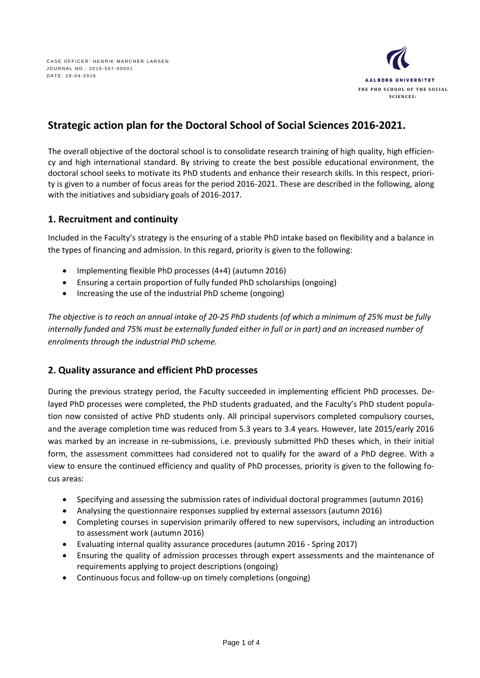

# **Strategic action plan for the Doctoral School of Social Sciences 2016-2021.**

The overall objective of the doctoral school is to consolidate research training of high quality, high efficiency and high international standard. By striving to create the best possible educational environment, the doctoral school seeks to motivate its PhD students and enhance their research skills. In this respect, priority is given to a number of focus areas for the period 2016-2021. These are described in the following, along with the initiatives and subsidiary goals of 2016-2017.

#### **1. Recruitment and continuity**

Included in the Faculty's strategy is the ensuring of a stable PhD intake based on flexibility and a balance in the types of financing and admission. In this regard, priority is given to the following:

- Implementing flexible PhD processes (4+4) (autumn 2016)
- Ensuring a certain proportion of fully funded PhD scholarships (ongoing)
- Increasing the use of the industrial PhD scheme (ongoing)

*The objective is to reach an annual intake of 20-25 PhD students (of which a minimum of 25% must be fully internally funded and 75% must be externally funded either in full or in part) and an increased number of enrolments through the industrial PhD scheme.* 

#### **2. Quality assurance and efficient PhD processes**

During the previous strategy period, the Faculty succeeded in implementing efficient PhD processes. Delayed PhD processes were completed, the PhD students graduated, and the Faculty's PhD student population now consisted of active PhD students only. All principal supervisors completed compulsory courses, and the average completion time was reduced from 5.3 years to 3.4 years. However, late 2015/early 2016 was marked by an increase in re-submissions, i.e. previously submitted PhD theses which, in their initial form, the assessment committees had considered not to qualify for the award of a PhD degree. With a view to ensure the continued efficiency and quality of PhD processes, priority is given to the following focus areas:

- Specifying and assessing the submission rates of individual doctoral programmes (autumn 2016)
- Analysing the questionnaire responses supplied by external assessors (autumn 2016)
- Completing courses in supervision primarily offered to new supervisors, including an introduction to assessment work (autumn 2016)
- Evaluating internal quality assurance procedures (autumn 2016 Spring 2017)
- Ensuring the quality of admission processes through expert assessments and the maintenance of requirements applying to project descriptions (ongoing)
- Continuous focus and follow-up on timely completions (ongoing)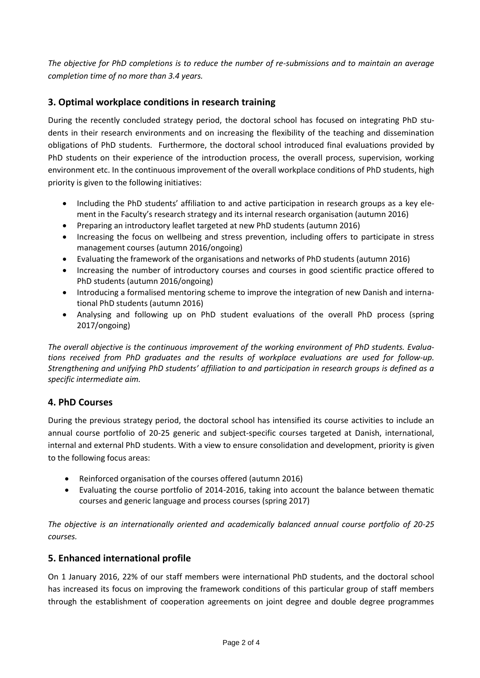*The objective for PhD completions is to reduce the number of re-submissions and to maintain an average completion time of no more than 3.4 years.* 

## **3. Optimal workplace conditions in research training**

During the recently concluded strategy period, the doctoral school has focused on integrating PhD students in their research environments and on increasing the flexibility of the teaching and dissemination obligations of PhD students. Furthermore, the doctoral school introduced final evaluations provided by PhD students on their experience of the introduction process, the overall process, supervision, working environment etc. In the continuous improvement of the overall workplace conditions of PhD students, high priority is given to the following initiatives:

- Including the PhD students' affiliation to and active participation in research groups as a key element in the Faculty's research strategy and its internal research organisation (autumn 2016)
- Preparing an introductory leaflet targeted at new PhD students (autumn 2016)
- Increasing the focus on wellbeing and stress prevention, including offers to participate in stress management courses (autumn 2016/ongoing)
- Evaluating the framework of the organisations and networks of PhD students (autumn 2016)
- Increasing the number of introductory courses and courses in good scientific practice offered to PhD students (autumn 2016/ongoing)
- Introducing a formalised mentoring scheme to improve the integration of new Danish and international PhD students (autumn 2016)
- Analysing and following up on PhD student evaluations of the overall PhD process (spring 2017/ongoing)

*The overall objective is the continuous improvement of the working environment of PhD students. Evaluations received from PhD graduates and the results of workplace evaluations are used for follow-up. Strengthening and unifying PhD students' affiliation to and participation in research groups is defined as a specific intermediate aim.* 

## **4. PhD Courses**

During the previous strategy period, the doctoral school has intensified its course activities to include an annual course portfolio of 20-25 generic and subject-specific courses targeted at Danish, international, internal and external PhD students. With a view to ensure consolidation and development, priority is given to the following focus areas:

- Reinforced organisation of the courses offered (autumn 2016)
- Evaluating the course portfolio of 2014-2016, taking into account the balance between thematic courses and generic language and process courses (spring 2017)

*The objective is an internationally oriented and academically balanced annual course portfolio of 20-25 courses.* 

## **5. Enhanced international profile**

On 1 January 2016, 22% of our staff members were international PhD students, and the doctoral school has increased its focus on improving the framework conditions of this particular group of staff members through the establishment of cooperation agreements on joint degree and double degree programmes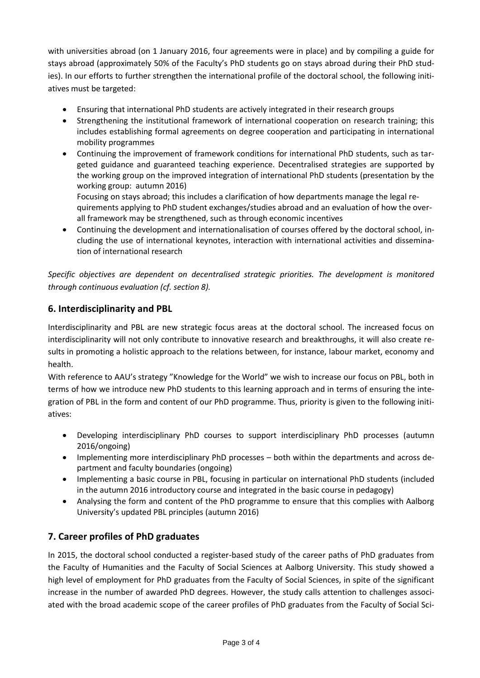with universities abroad (on 1 January 2016, four agreements were in place) and by compiling a guide for stays abroad (approximately 50% of the Faculty's PhD students go on stays abroad during their PhD studies). In our efforts to further strengthen the international profile of the doctoral school, the following initiatives must be targeted:

- Ensuring that international PhD students are actively integrated in their research groups
- Strengthening the institutional framework of international cooperation on research training; this includes establishing formal agreements on degree cooperation and participating in international mobility programmes
- Continuing the improvement of framework conditions for international PhD students, such as targeted guidance and guaranteed teaching experience. Decentralised strategies are supported by the working group on the improved integration of international PhD students (presentation by the working group: autumn 2016)

Focusing on stays abroad; this includes a clarification of how departments manage the legal requirements applying to PhD student exchanges/studies abroad and an evaluation of how the overall framework may be strengthened, such as through economic incentives

 Continuing the development and internationalisation of courses offered by the doctoral school, including the use of international keynotes, interaction with international activities and dissemination of international research

*Specific objectives are dependent on decentralised strategic priorities. The development is monitored through continuous evaluation (cf. section 8).*

# **6. Interdisciplinarity and PBL**

Interdisciplinarity and PBL are new strategic focus areas at the doctoral school. The increased focus on interdisciplinarity will not only contribute to innovative research and breakthroughs, it will also create results in promoting a holistic approach to the relations between, for instance, labour market, economy and health.

With reference to AAU's strategy "Knowledge for the World" we wish to increase our focus on PBL, both in terms of how we introduce new PhD students to this learning approach and in terms of ensuring the integration of PBL in the form and content of our PhD programme. Thus, priority is given to the following initiatives:

- Developing interdisciplinary PhD courses to support interdisciplinary PhD processes (autumn 2016/ongoing)
- Implementing more interdisciplinary PhD processes both within the departments and across department and faculty boundaries (ongoing)
- Implementing a basic course in PBL, focusing in particular on international PhD students (included in the autumn 2016 introductory course and integrated in the basic course in pedagogy)
- Analysing the form and content of the PhD programme to ensure that this complies with Aalborg University's updated PBL principles (autumn 2016)

# **7. Career profiles of PhD graduates**

In 2015, the doctoral school conducted a register-based study of the career paths of PhD graduates from the Faculty of Humanities and the Faculty of Social Sciences at Aalborg University. This study showed a high level of employment for PhD graduates from the Faculty of Social Sciences, in spite of the significant increase in the number of awarded PhD degrees. However, the study calls attention to challenges associated with the broad academic scope of the career profiles of PhD graduates from the Faculty of Social Sci